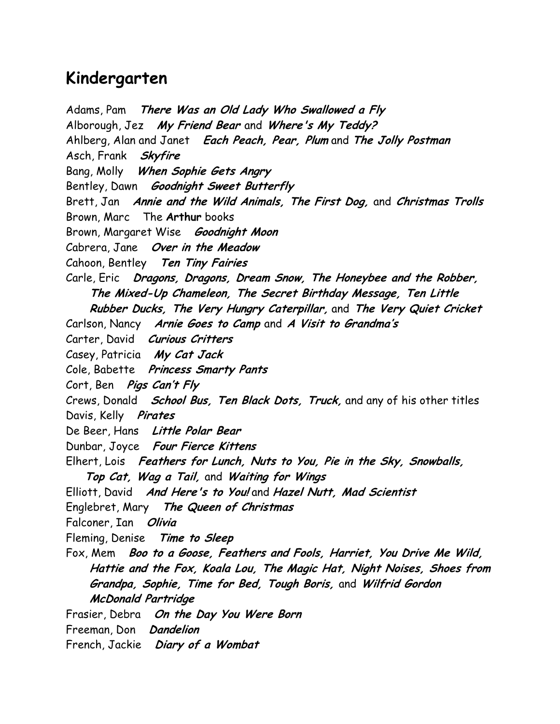## Kindergarten

Adams, Pam There Was an Old Lady Who Swallowed a Fly Alborough, Jez My Friend Bear and Where's My Teddy? Ahlberg, Alan and Janet Each Peach, Pear, Plum and The Jolly Postman Asch, Frank Skyfire Bang, Molly When Sophie Gets Angry Bentley, Dawn Goodnight Sweet Butterfly Brett, Jan Annie and the Wild Animals, The First Dog, and Christmas Trolls Brown, Marc The Arthur books Brown, Margaret Wise Goodnight Moon Cabrera, Jane Over in the Meadow Cahoon, Bentley Ten Tiny Fairies Carle, Eric Dragons, Dragons, Dream Snow, The Honeybee and the Robber, The Mixed-Up Chameleon, The Secret Birthday Message, Ten Little Rubber Ducks, The Very Hungry Caterpillar, and The Very Quiet Cricket Carlson, Nancy Arnie Goes to Camp and A Visit to Grandma's Carter, David Curious Critters Casey, Patricia My Cat Jack Cole, Babette Princess Smarty Pants Cort, Ben *Pigs Can't Fly* Crews, Donald *School Bus, Ten Black Dots, Truck*, and any of his other titles Davis, Kelly *Pirates* De Beer, Hans Little Polar Bear Dunbar, Joyce Four Fierce Kittens Elhert, Lois Feathers for Lunch, Nuts to You, Pie in the Sky, Snowballs, Top Cat, Wag a Tail, and Waiting for Wings Elliott, David And Here's to You! and Hazel Nutt, Mad Scientist Englebret, Mary The Queen of Christmas Falconer, Ian Olivia Fleming, Denise Time to Sleep Fox, Mem Boo to a Goose, Feathers and Fools, Harriet, You Drive Me Wild, Hattie and the Fox, Koala Lou, The Magic Hat, Night Noises, Shoes from Grandpa, Sophie, Time for Bed, Tough Boris, and Wilfrid Gordon McDonald Partridge Frasier, Debra On the Day You Were Born Freeman, Don Dandelion

French, Jackie Diary of a Wombat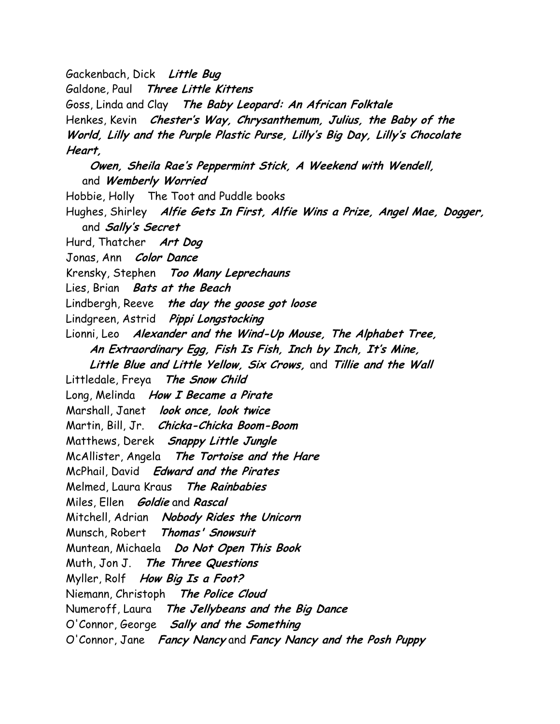Gackenbach, Dick Little Bug

Galdone, Paul Three Little Kittens

Goss, Linda and Clay The Baby Leopard: An African Folktale

Henkes, Kevin Chester's Way, Chrysanthemum, Julius, the Baby of the

World, Lilly and the Purple Plastic Purse, Lilly's Big Day, Lilly's Chocolate Heart,

 Owen, Sheila Rae's Peppermint Stick, A Weekend with Wendell, and Wemberly Worried

Hobbie, Holly The Toot and Puddle books

Hughes, Shirley Alfie Gets In First, Alfie Wins a Prize, Angel Mae, Dogger, and *Sally's Secret* 

Hurd, Thatcher Art Dog

Jonas, Ann Color Dance

Krensky, Stephen Too Many Leprechauns

Lies, Brian Bats at the Beach

Lindbergh, Reeve the day the goose got loose

Lindgreen, Astrid Pippi Longstocking

- Lionni, Leo Alexander and the Wind-Up Mouse, The Alphabet Tree, An Extraordinary Egg, Fish Is Fish, Inch by Inch, It's Mine,
	- Little Blue and Little Yellow, Six Crows, and Tillie and the Wall

Littledale, Freya The Snow Child

Long, Melinda How I Became a Pirate

Marshall, Janet look once, look twice

Martin, Bill, Jr. Chicka-Chicka Boom-Boom

Matthews, Derek Snappy Little Jungle

McAllister, Angela The Tortoise and the Hare

McPhail, David Edward and the Pirates

Melmed, Laura Kraus The Rainbabies

Miles, Ellen *Goldie* and Rascal

Mitchell, Adrian Nobody Rides the Unicorn

Munsch, Robert Thomas' Snowsuit

Muntean, Michaela Do Not Open This Book

Muth, Jon J. The Three Questions

Myller, Rolf How Big Is a Foot?

Niemann, Christoph The Police Cloud

Numeroff, Laura The Jellybeans and the Big Dance

O'Connor, George Sally and the Something

O'Connor, Jane Fancy Nancy and Fancy Nancy and the Posh Puppy